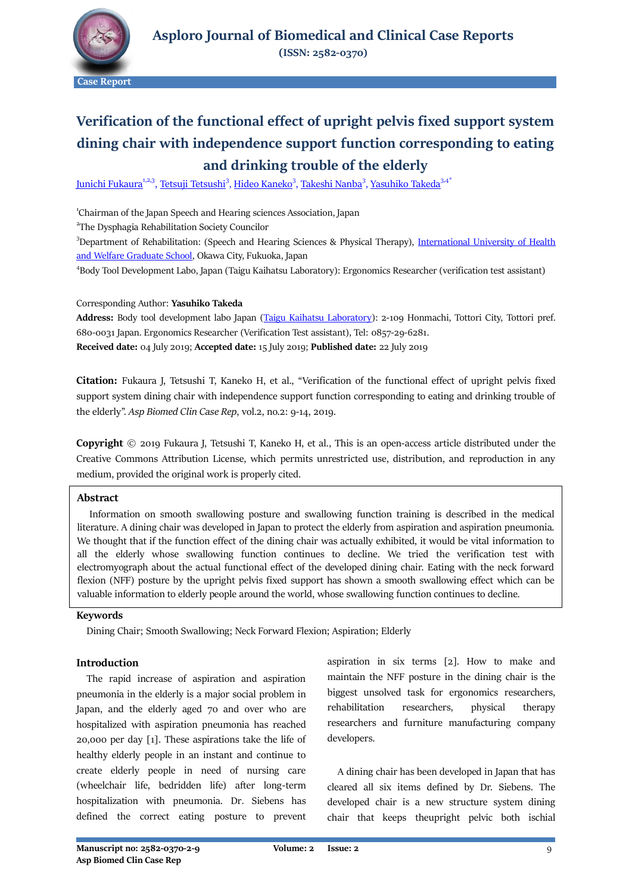

# **Verification of the functional effect of upright pelvis fixed support system dining chair with independence support function corresponding to eating and drinking trouble of the elderly**

<u>Junichi Fukaura<sup>1,2,3</sup>, Tetsuji Tetsushi<sup>3</sup>, Hideo Kaneko<sup>3</sup>, <u>Takeshi Nanba<sup>3</sup>, [Yasuhiko Takeda](mailto:takeda-y@enjoy.ne.jp)</u><sup>3,4\*</sup></u>

<sup>1</sup>Chairman of the Japan Speech and Hearing sciences Association, Japan

<sup>2</sup>The Dysphagia Rehabilitation Society Councilor

<sup>3</sup>Department of Rehabilitation: (Speech and Hearing Sciences & Physical Therapy), *International University of Health* [and Welfare Graduate School,](https://otawara.iuhw.ac.jp/en/) Okawa City, Fukuoka, Japan

4 Body Tool Development Labo, Japan (Taigu Kaihatsu Laboratory): Ergonomics Researcher (verification test assistant)

Corresponding Author: **Yasuhiko Takeda**

**Address:** Body tool development labo Japan [\(Taigu Kaihatsu Laboratory\)](http://www.taiguken.com/contents2.html): 2-109 Honmachi, Tottori City, Tottori pref. 680-0031 Japan. Ergonomics Researcher (Verification Test assistant), Tel: 0857-29-6281. **Received date:** 04 July 2019; **Accepted date:** 15 July 2019; **Published date:** 22 July 2019

**Citation:** Fukaura J, Tetsushi T, Kaneko H, et al., "Verification of the functional effect of upright pelvis fixed support system dining chair with independence support function corresponding to eating and drinking trouble of the elderly". *Asp Biomed Clin Case Rep*, vol.2, no.2: 9-14, 2019.

**Copyright** © 2019 Fukaura J, Tetsushi T, Kaneko H, et al., This is an open-access article distributed under the Creative Commons Attribution License, which permits unrestricted use, distribution, and reproduction in any medium, provided the original work is properly cited.

# **Abstract**

 Information on smooth swallowing posture and swallowing function training is described in the medical literature. A dining chair was developed in Japan to protect the elderly from aspiration and aspiration pneumonia. We thought that if the function effect of the dining chair was actually exhibited, it would be vital information to all the elderly whose swallowing function continues to decline. We tried the verification test with electromyograph about the actual functional effect of the developed dining chair. Eating with the neck forward flexion (NFF) posture by the upright pelvis fixed support has shown a smooth swallowing effect which can be valuable information to elderly people around the world, whose swallowing function continues to decline.

# **Keywords**

Dining Chair; Smooth Swallowing; Neck Forward Flexion; Aspiration; Elderly

# **Introduction**

 The rapid increase of aspiration and aspiration pneumonia in the elderly is a major social problem in Japan, and the elderly aged 70 and over who are hospitalized with aspiration pneumonia has reached 20,000 per day [1]. These aspirations take the life of healthy elderly people in an instant and continue to create elderly people in need of nursing care (wheelchair life, bedridden life) after long-term hospitalization with pneumonia. Dr. Siebens has defined the correct eating posture to prevent aspiration in six terms [2]. How to make and maintain the NFF posture in the dining chair is the biggest unsolved task for ergonomics researchers, rehabilitation researchers, physical therapy researchers and furniture manufacturing company developers.

 A dining chair has been developed in Japan that has cleared all six items defined by Dr. Siebens. The developed chair is a new structure system dining chair that keeps theupright pelvic both ischial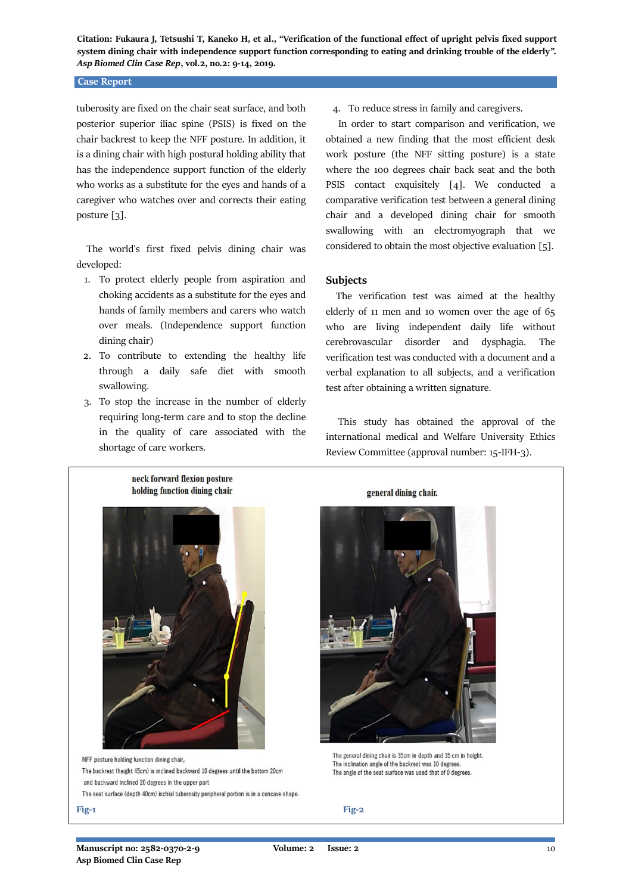#### **Case Report**

tuberosity are fixed on the chair seat surface, and both posterior superior iliac spine (PSIS) is fixed on the chair backrest to keep the NFF posture. In addition, it is a dining chair with high postural holding ability that has the independence support function of the elderly who works as a substitute for the eyes and hands of a caregiver who watches over and corrects their eating posture [3].

 The world's first fixed pelvis dining chair was developed:

- 1. To protect elderly people from aspiration and choking accidents as a substitute for the eyes and hands of family members and carers who watch over meals. (Independence support function dining chair)
- 2. To contribute to extending the healthy life through a daily safe diet with smooth swallowing.
- 3. To stop the increase in the number of elderly requiring long-term care and to stop the decline in the quality of care associated with the shortage of care workers.

4. To reduce stress in family and caregivers.

 In order to start comparison and verification, we obtained a new finding that the most efficient desk work posture (the NFF sitting posture) is a state where the 100 degrees chair back seat and the both PSIS contact exquisitely [4]. We conducted a comparative verification test between a general dining chair and a developed dining chair for smooth swallowing with an electromyograph that we considered to obtain the most objective evaluation [5].

## **Subjects**

 The verification test was aimed at the healthy elderly of 11 men and 10 women over the age of 65 who are living independent daily life without cerebrovascular disorder and dysphagia. The verification test was conducted with a document and a verbal explanation to all subjects, and a verification test after obtaining a written signature.

 This study has obtained the approval of the international medical and Welfare University Ethics Review Committee (approval number: 15-IFH-3).



NFF posture holding function dining chair, The backrest (height 45cm) is inclined backward 10 degrees until the bottom 20cm and backward inclined 20 degrees in the upper part. The seat surface (depth 40cm) ischial tuberosity peripheral portion is in a concave shape. general dining chair.



The general dining chair is 35cm in depth and 35 cm in height The inclination angle of the backrest was 10 degrees The angle of the seat surface was used that of 0 degrees.

**Fig-1 Fig-2**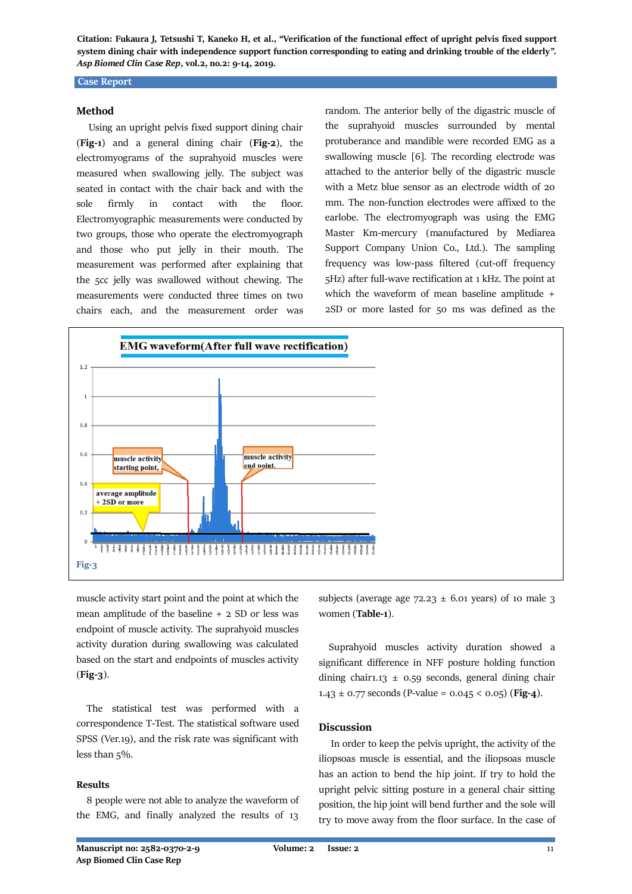## **Case Report**

# **Method**

 Using an upright pelvis fixed support dining chair (**Fig-1**) and a general dining chair (**Fig-2**), the electromyograms of the suprahyoid muscles were measured when swallowing jelly. The subject was seated in contact with the chair back and with the sole firmly in contact with the floor. Electromyographic measurements were conducted by two groups, those who operate the electromyograph and those who put jelly in their mouth. The measurement was performed after explaining that the 5cc jelly was swallowed without chewing. The measurements were conducted three times on two chairs each, and the measurement order was

random. The anterior belly of the digastric muscle of the suprahyoid muscles surrounded by mental protuberance and mandible were recorded EMG as a swallowing muscle [6]. The recording electrode was attached to the anterior belly of the digastric muscle with a Metz blue sensor as an electrode width of 20 mm. The non-function electrodes were affixed to the earlobe. The electromyograph was using the EMG Master Km-mercury (manufactured by Mediarea Support Company Union Co., Ltd.). The sampling frequency was low-pass filtered (cut-off frequency 5Hz) after full-wave rectification at 1 kHz. The point at which the waveform of mean baseline amplitude + 2SD or more lasted for 50 ms was defined as the



muscle activity start point and the point at which the mean amplitude of the baseline + 2 SD or less was endpoint of muscle activity. The suprahyoid muscles activity duration during swallowing was calculated based on the start and endpoints of muscles activity (**Fig-3**).

 The statistical test was performed with a correspondence T-Test. The statistical software used SPSS (Ver.19), and the risk rate was significant with less than 5%.

### **Results**

 8 people were not able to analyze the waveform of the EMG, and finally analyzed the results of 13

subjects (average age  $72.23 \pm 6.01$  years) of 10 male 3 women (**Table-1**).

 Suprahyoid muscles activity duration showed a significant difference in NFF posture holding function dining chair1.13  $\pm$  0.59 seconds, general dining chair 1.43  $\pm$  0.77 seconds (P-value = 0.045 < 0.05) (**Fig-4**).

## **Discussion**

 In order to keep the pelvis upright, the activity of the iliopsoas muscle is essential, and the iliopsoas muscle has an action to bend the hip joint. If try to hold the upright pelvic sitting posture in a general chair sitting position, the hip joint will bend further and the sole will try to move away from the floor surface. In the case of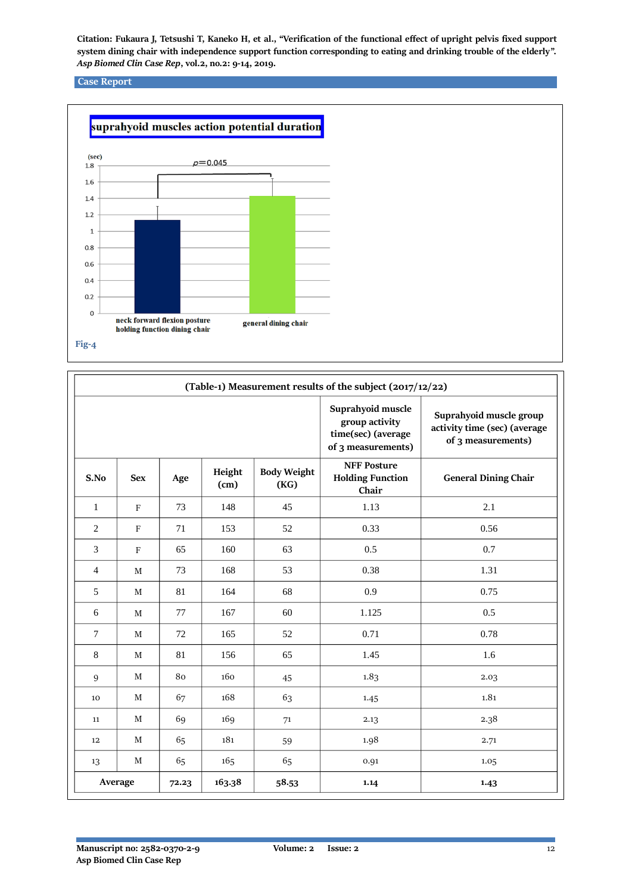# **Case Report**



| (Table-1) Measurement results of the subject (2017/12/22) |              |       |                |                            |                                                                                 |                                                                               |
|-----------------------------------------------------------|--------------|-------|----------------|----------------------------|---------------------------------------------------------------------------------|-------------------------------------------------------------------------------|
|                                                           |              |       |                |                            | Suprahyoid muscle<br>group activity<br>time(sec) (average<br>of 3 measurements) | Suprahyoid muscle group<br>activity time (sec) (average<br>of 3 measurements) |
| S.No                                                      | <b>Sex</b>   | Age   | Height<br>(cm) | <b>Body Weight</b><br>(KG) | <b>NFF Posture</b><br><b>Holding Function</b><br>Chair                          | <b>General Dining Chair</b>                                                   |
| $\mathbf{1}$                                              | $\mathbf F$  | 73    | 148            | 45                         | 1.13                                                                            | 2.1                                                                           |
| $\mathfrak{2}$                                            | $\mathbf{F}$ | 71    | 153            | 52                         | 0.33                                                                            | 0.56                                                                          |
| 3                                                         | $\mathbf{F}$ | 65    | 160            | 63                         | 0.5                                                                             | 0.7                                                                           |
| $\overline{4}$                                            | $\mathbf M$  | 73    | 168            | 53                         | 0.38                                                                            | 1.31                                                                          |
| 5                                                         | M            | 81    | 164            | 68                         | 0.9                                                                             | 0.75                                                                          |
| 6                                                         | M            | 77    | 167            | 60                         | 1.125                                                                           | 0.5                                                                           |
| $\tau$                                                    | M            | 72    | 165            | 52                         | 0.71                                                                            | 0.78                                                                          |
| $\,8\,$                                                   | M            | 81    | 156            | 65                         | 1.45                                                                            | 1.6                                                                           |
| 9                                                         | M            | 80    | 160            | 45                         | 1.83                                                                            | 2.03                                                                          |
| 10                                                        | M            | 67    | 168            | 63                         | 1.45                                                                            | 1.81                                                                          |
| 11                                                        | M            | 69    | 169            | 71                         | 2.13                                                                            | 2.38                                                                          |
| 12                                                        | M            | 65    | 181            | 59                         | 1.98                                                                            | 2.71                                                                          |
| 13                                                        | M            | 65    | 165            | 65                         | 0.91                                                                            | 1.05                                                                          |
| Average                                                   |              | 72.23 | 163.38         | 58.53                      | 1.14                                                                            | 1.43                                                                          |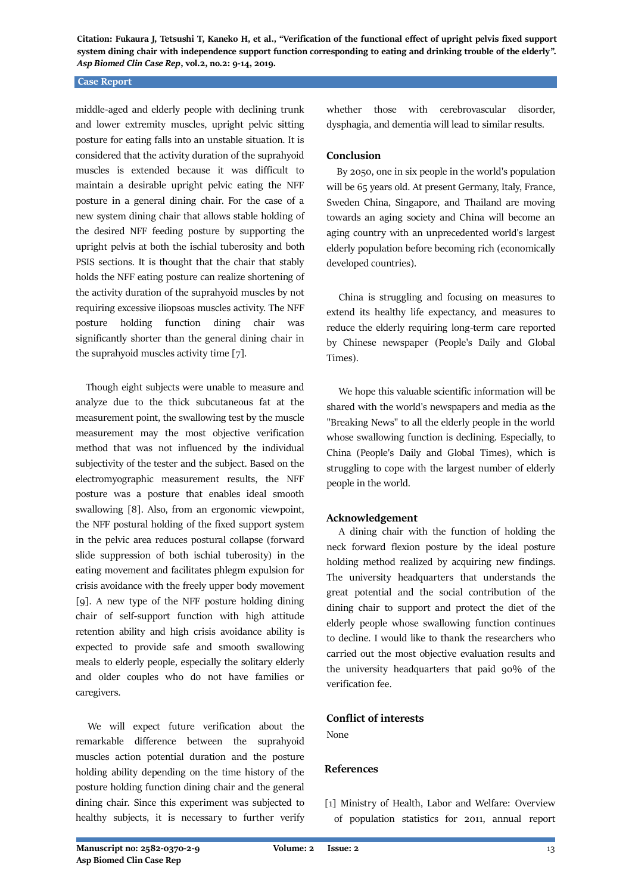## **Case Report**

middle-aged and elderly people with declining trunk and lower extremity muscles, upright pelvic sitting posture for eating falls into an unstable situation. It is considered that the activity duration of the suprahyoid muscles is extended because it was difficult to maintain a desirable upright pelvic eating the NFF posture in a general dining chair. For the case of a new system dining chair that allows stable holding of the desired NFF feeding posture by supporting the upright pelvis at both the ischial tuberosity and both PSIS sections. It is thought that the chair that stably holds the NFF eating posture can realize shortening of the activity duration of the suprahyoid muscles by not requiring excessive iliopsoas muscles activity. The NFF posture holding function dining chair was significantly shorter than the general dining chair in the suprahyoid muscles activity time [7].

 Though eight subjects were unable to measure and analyze due to the thick subcutaneous fat at the measurement point, the swallowing test by the muscle measurement may the most objective verification method that was not influenced by the individual subjectivity of the tester and the subject. Based on the electromyographic measurement results, the NFF posture was a posture that enables ideal smooth swallowing [8]. Also, from an ergonomic viewpoint, the NFF postural holding of the fixed support system in the pelvic area reduces postural collapse (forward slide suppression of both ischial tuberosity) in the eating movement and facilitates phlegm expulsion for crisis avoidance with the freely upper body movement [9]. A new type of the NFF posture holding dining chair of self-support function with high attitude retention ability and high crisis avoidance ability is expected to provide safe and smooth swallowing meals to elderly people, especially the solitary elderly and older couples who do not have families or caregivers.

 We will expect future verification about the remarkable difference between the suprahyoid muscles action potential duration and the posture holding ability depending on the time history of the posture holding function dining chair and the general dining chair. Since this experiment was subjected to healthy subjects, it is necessary to further verify whether those with cerebrovascular disorder, dysphagia, and dementia will lead to similar results.

# **Conclusion**

 By 2050, one in six people in the world's population will be 65 years old. At present Germany, Italy, France, Sweden China, Singapore, and Thailand are moving towards an aging society and China will become an aging country with an unprecedented world's largest elderly population before becoming rich (economically developed countries).

 China is struggling and focusing on measures to extend its healthy life expectancy, and measures to reduce the elderly requiring long-term care reported by Chinese newspaper (People's Daily and Global Times).

 We hope this valuable scientific information will be shared with the world's newspapers and media as the "Breaking News" to all the elderly people in the world whose swallowing function is declining. Especially, to China (People's Daily and Global Times), which is struggling to cope with the largest number of elderly people in the world.

# **Acknowledgement**

 A dining chair with the function of holding the neck forward flexion posture by the ideal posture holding method realized by acquiring new findings. The university headquarters that understands the great potential and the social contribution of the dining chair to support and protect the diet of the elderly people whose swallowing function continues to decline. I would like to thank the researchers who carried out the most objective evaluation results and the university headquarters that paid 90% of the verification fee.

# **Conflict of interests**

None

## **References**

[1] Ministry of Health, Labor and Welfare: Overview of population statistics for 2011, annual report